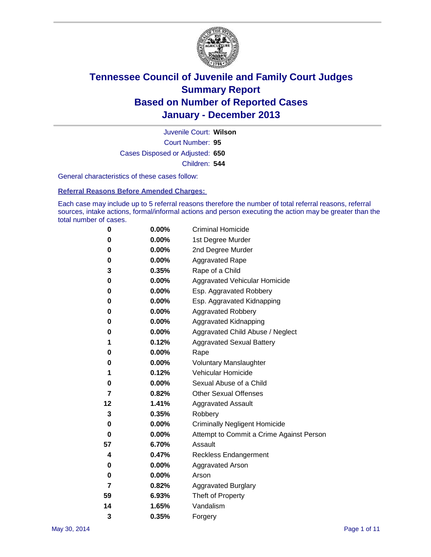

Court Number: **95** Juvenile Court: **Wilson** Cases Disposed or Adjusted: **650** Children: **544**

General characteristics of these cases follow:

**Referral Reasons Before Amended Charges:** 

Each case may include up to 5 referral reasons therefore the number of total referral reasons, referral sources, intake actions, formal/informal actions and person executing the action may be greater than the total number of cases.

| 0  | $0.00\%$ | <b>Criminal Homicide</b>                 |
|----|----------|------------------------------------------|
| 0  | 0.00%    | 1st Degree Murder                        |
| 0  | 0.00%    | 2nd Degree Murder                        |
| 0  | $0.00\%$ | <b>Aggravated Rape</b>                   |
| 3  | 0.35%    | Rape of a Child                          |
| 0  | 0.00%    | <b>Aggravated Vehicular Homicide</b>     |
| 0  | $0.00\%$ | Esp. Aggravated Robbery                  |
| 0  | 0.00%    | Esp. Aggravated Kidnapping               |
| 0  | 0.00%    | <b>Aggravated Robbery</b>                |
| 0  | $0.00\%$ | Aggravated Kidnapping                    |
| 0  | 0.00%    | Aggravated Child Abuse / Neglect         |
| 1  | 0.12%    | <b>Aggravated Sexual Battery</b>         |
| 0  | $0.00\%$ | Rape                                     |
| 0  | 0.00%    | <b>Voluntary Manslaughter</b>            |
| 1  | 0.12%    | Vehicular Homicide                       |
| 0  | $0.00\%$ | Sexual Abuse of a Child                  |
| 7  | 0.82%    | <b>Other Sexual Offenses</b>             |
| 12 | 1.41%    | <b>Aggravated Assault</b>                |
| 3  | 0.35%    | Robbery                                  |
| 0  | 0.00%    | <b>Criminally Negligent Homicide</b>     |
| 0  | 0.00%    | Attempt to Commit a Crime Against Person |
| 57 | 6.70%    | Assault                                  |
| 4  | 0.47%    | <b>Reckless Endangerment</b>             |
| 0  | 0.00%    | <b>Aggravated Arson</b>                  |
| 0  | $0.00\%$ | Arson                                    |
| 7  | 0.82%    | <b>Aggravated Burglary</b>               |
| 59 | 6.93%    | Theft of Property                        |
| 14 | 1.65%    | Vandalism                                |
| 3  | 0.35%    | Forgery                                  |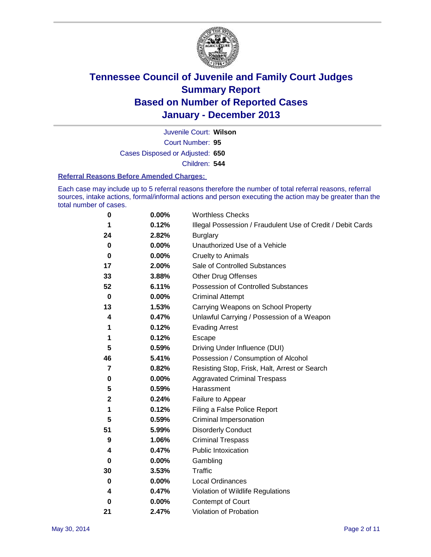

Court Number: **95** Juvenile Court: **Wilson** Cases Disposed or Adjusted: **650** Children: **544**

#### **Referral Reasons Before Amended Charges:**

Each case may include up to 5 referral reasons therefore the number of total referral reasons, referral sources, intake actions, formal/informal actions and person executing the action may be greater than the total number of cases.

| 0           | 0.00%    | <b>Worthless Checks</b>                                     |
|-------------|----------|-------------------------------------------------------------|
| 1           | 0.12%    | Illegal Possession / Fraudulent Use of Credit / Debit Cards |
| 24          | 2.82%    | <b>Burglary</b>                                             |
| 0           | $0.00\%$ | Unauthorized Use of a Vehicle                               |
| 0           | $0.00\%$ | <b>Cruelty to Animals</b>                                   |
| 17          | 2.00%    | Sale of Controlled Substances                               |
| 33          | 3.88%    | Other Drug Offenses                                         |
| 52          | 6.11%    | Possession of Controlled Substances                         |
| 0           | $0.00\%$ | <b>Criminal Attempt</b>                                     |
| 13          | 1.53%    | Carrying Weapons on School Property                         |
| 4           | 0.47%    | Unlawful Carrying / Possession of a Weapon                  |
| 1           | 0.12%    | <b>Evading Arrest</b>                                       |
| 1           | 0.12%    | Escape                                                      |
| 5           | 0.59%    | Driving Under Influence (DUI)                               |
| 46          | 5.41%    | Possession / Consumption of Alcohol                         |
| 7           | 0.82%    | Resisting Stop, Frisk, Halt, Arrest or Search               |
| 0           | $0.00\%$ | <b>Aggravated Criminal Trespass</b>                         |
| 5           | 0.59%    | Harassment                                                  |
| $\mathbf 2$ | 0.24%    | Failure to Appear                                           |
| 1           | 0.12%    | Filing a False Police Report                                |
| 5           | 0.59%    | Criminal Impersonation                                      |
| 51          | 5.99%    | <b>Disorderly Conduct</b>                                   |
| 9           | 1.06%    | <b>Criminal Trespass</b>                                    |
| 4           | 0.47%    | <b>Public Intoxication</b>                                  |
| 0           | 0.00%    | Gambling                                                    |
| 30          | 3.53%    | <b>Traffic</b>                                              |
| $\bf{0}$    | $0.00\%$ | <b>Local Ordinances</b>                                     |
| 4           | 0.47%    | Violation of Wildlife Regulations                           |
| 0           | $0.00\%$ | Contempt of Court                                           |
| 21          | 2.47%    | Violation of Probation                                      |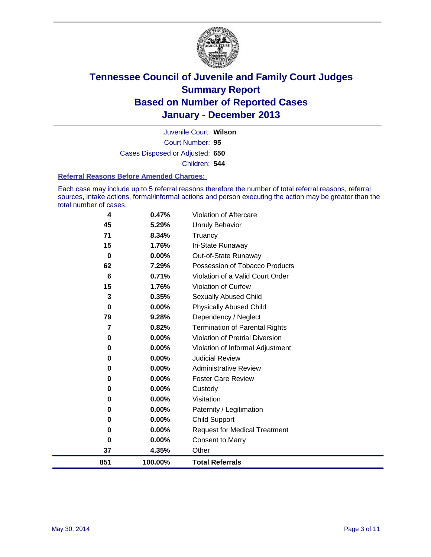

Court Number: **95** Juvenile Court: **Wilson** Cases Disposed or Adjusted: **650** Children: **544**

#### **Referral Reasons Before Amended Charges:**

Each case may include up to 5 referral reasons therefore the number of total referral reasons, referral sources, intake actions, formal/informal actions and person executing the action may be greater than the total number of cases.

| 0<br>$\bf{0}$ | 0.00%<br>0.00% | <b>Child Support</b><br><b>Request for Medical Treatment</b> |
|---------------|----------------|--------------------------------------------------------------|
| 0             | 0.00%          | Paternity / Legitimation                                     |
| 0             | 0.00%          | Visitation                                                   |
| $\bf{0}$      | 0.00%          | Custody                                                      |
| 0             | 0.00%          | <b>Foster Care Review</b>                                    |
| 0             | $0.00\%$       | <b>Administrative Review</b>                                 |
| 0             | 0.00%          | Violation of Informal Adjustment<br><b>Judicial Review</b>   |
| 0<br>0        | 0.00%<br>0.00% | <b>Violation of Pretrial Diversion</b>                       |
| 7             | 0.82%          | <b>Termination of Parental Rights</b>                        |
| 79            | 9.28%          | Dependency / Neglect                                         |
| 0             | $0.00\%$       | <b>Physically Abused Child</b>                               |
| 3             | 0.35%          | Sexually Abused Child                                        |
| 15            | 1.76%          | <b>Violation of Curfew</b>                                   |
| 6             | 0.71%          | Violation of a Valid Court Order                             |
| 62            | 7.29%          | Possession of Tobacco Products                               |
| $\bf{0}$      | $0.00\%$       | Out-of-State Runaway                                         |
| 15            | 1.76%          | In-State Runaway                                             |
| 71            | 8.34%          | Truancy                                                      |
| 45            | 5.29%          | <b>Unruly Behavior</b>                                       |
| 4             | 0.47%          | <b>Violation of Aftercare</b>                                |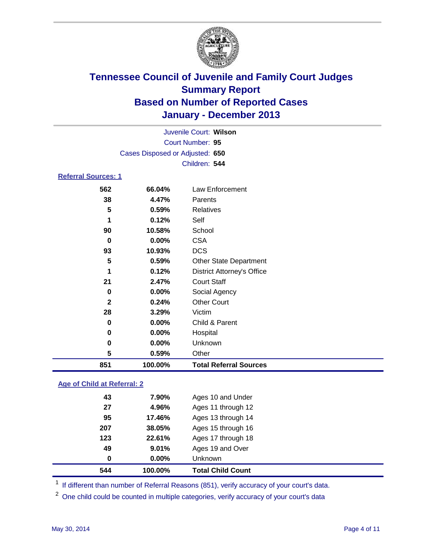

| Juvenile Court: Wilson          |          |                                   |  |  |
|---------------------------------|----------|-----------------------------------|--|--|
| Court Number: 95                |          |                                   |  |  |
| Cases Disposed or Adjusted: 650 |          |                                   |  |  |
|                                 |          | Children: 544                     |  |  |
| <b>Referral Sources: 1</b>      |          |                                   |  |  |
| 562                             | 66.04%   | Law Enforcement                   |  |  |
| 38                              | 4.47%    | Parents                           |  |  |
| 5                               | 0.59%    | <b>Relatives</b>                  |  |  |
| 1                               | 0.12%    | Self                              |  |  |
| 90                              | 10.58%   | School                            |  |  |
| 0                               | $0.00\%$ | <b>CSA</b>                        |  |  |
| 93                              | 10.93%   | <b>DCS</b>                        |  |  |
| 5                               | 0.59%    | <b>Other State Department</b>     |  |  |
| 1                               | 0.12%    | <b>District Attorney's Office</b> |  |  |
| 21                              | 2.47%    | <b>Court Staff</b>                |  |  |
| 0                               | 0.00%    | Social Agency                     |  |  |
| $\mathbf{2}$                    | 0.24%    | <b>Other Court</b>                |  |  |
| 28                              | 3.29%    | Victim                            |  |  |
| $\bf{0}$                        | 0.00%    | Child & Parent                    |  |  |
| 0                               | 0.00%    | Hospital                          |  |  |
| 0                               | 0.00%    | Unknown                           |  |  |
| 5                               | 0.59%    | Other                             |  |  |
| 851                             | 100.00%  | <b>Total Referral Sources</b>     |  |  |

### **Age of Child at Referral: 2**

| 544 | 100.00% | <b>Total Child Count</b> |
|-----|---------|--------------------------|
| 0   | 0.00%   | <b>Unknown</b>           |
| 49  | 9.01%   | Ages 19 and Over         |
| 123 | 22.61%  | Ages 17 through 18       |
| 207 | 38.05%  | Ages 15 through 16       |
| 95  | 17.46%  | Ages 13 through 14       |
| 27  | 4.96%   | Ages 11 through 12       |
| 43  | 7.90%   | Ages 10 and Under        |
|     |         |                          |

<sup>1</sup> If different than number of Referral Reasons (851), verify accuracy of your court's data.

<sup>2</sup> One child could be counted in multiple categories, verify accuracy of your court's data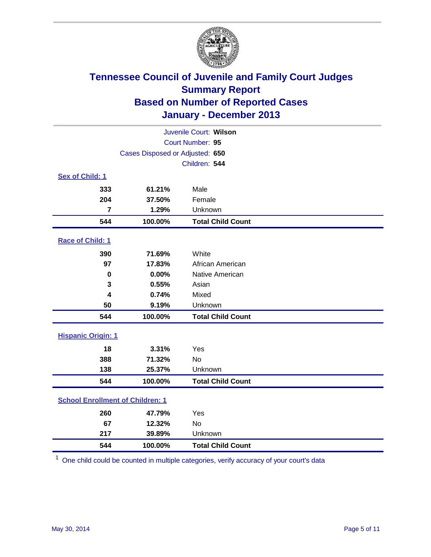

| Juvenile Court: Wilson                  |                                 |                          |  |  |  |
|-----------------------------------------|---------------------------------|--------------------------|--|--|--|
| Court Number: 95                        |                                 |                          |  |  |  |
|                                         | Cases Disposed or Adjusted: 650 |                          |  |  |  |
|                                         | Children: 544                   |                          |  |  |  |
| Sex of Child: 1                         |                                 |                          |  |  |  |
| 333                                     | 61.21%                          | Male                     |  |  |  |
| 204                                     | 37.50%                          | Female                   |  |  |  |
| 7                                       | 1.29%                           | Unknown                  |  |  |  |
| 544                                     | 100.00%                         | <b>Total Child Count</b> |  |  |  |
| Race of Child: 1                        |                                 |                          |  |  |  |
| 390                                     | 71.69%                          | White                    |  |  |  |
| 97                                      | 17.83%                          | African American         |  |  |  |
| 0                                       | 0.00%                           | Native American          |  |  |  |
| 3                                       | 0.55%                           | Asian                    |  |  |  |
| $\overline{\mathbf{4}}$                 | 0.74%                           | Mixed                    |  |  |  |
| 50                                      | 9.19%                           | Unknown                  |  |  |  |
| 544                                     | 100.00%                         | <b>Total Child Count</b> |  |  |  |
| <b>Hispanic Origin: 1</b>               |                                 |                          |  |  |  |
| 18                                      | 3.31%                           | Yes                      |  |  |  |
| 388                                     | 71.32%                          | <b>No</b>                |  |  |  |
| 138                                     | 25.37%                          | Unknown                  |  |  |  |
| 544                                     | 100.00%                         | <b>Total Child Count</b> |  |  |  |
| <b>School Enrollment of Children: 1</b> |                                 |                          |  |  |  |
| 260                                     | 47.79%                          | Yes                      |  |  |  |
| 67                                      | 12.32%                          | <b>No</b>                |  |  |  |
| 217                                     | 39.89%                          | Unknown                  |  |  |  |
| 544                                     | 100.00%                         | <b>Total Child Count</b> |  |  |  |

One child could be counted in multiple categories, verify accuracy of your court's data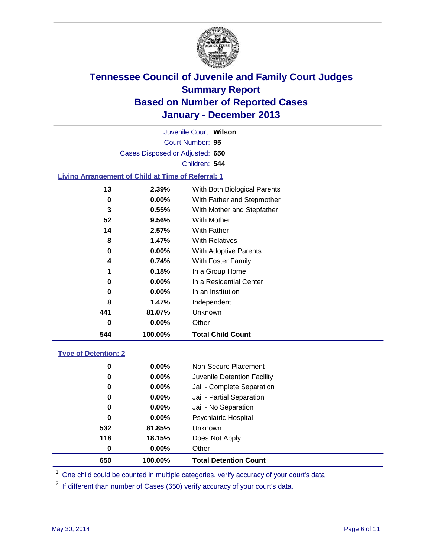

Court Number: **95** Juvenile Court: **Wilson** Cases Disposed or Adjusted: **650** Children: **544**

#### **Living Arrangement of Child at Time of Referral: 1**

| 544 |    | 100.00%  | <b>Total Child Count</b>     |
|-----|----|----------|------------------------------|
|     | 0  | 0.00%    | Other                        |
| 441 |    | 81.07%   | Unknown                      |
|     | 8  | 1.47%    | Independent                  |
|     | 0  | $0.00\%$ | In an Institution            |
|     | 0  | $0.00\%$ | In a Residential Center      |
|     | 1  | 0.18%    | In a Group Home              |
|     | 4  | 0.74%    | With Foster Family           |
|     | 0  | $0.00\%$ | <b>With Adoptive Parents</b> |
|     | 8  | 1.47%    | <b>With Relatives</b>        |
|     | 14 | 2.57%    | With Father                  |
|     | 52 | 9.56%    | With Mother                  |
|     | 3  | 0.55%    | With Mother and Stepfather   |
|     | 0  | $0.00\%$ | With Father and Stepmother   |
|     | 13 | 2.39%    | With Both Biological Parents |
|     |    |          |                              |

#### **Type of Detention: 2**

| 650 | 100.00%  | <b>Total Detention Count</b> |  |
|-----|----------|------------------------------|--|
| 0   | 0.00%    | Other                        |  |
| 118 | 18.15%   | Does Not Apply               |  |
| 532 | 81.85%   | <b>Unknown</b>               |  |
| 0   | $0.00\%$ | <b>Psychiatric Hospital</b>  |  |
| 0   | 0.00%    | Jail - No Separation         |  |
| 0   | 0.00%    | Jail - Partial Separation    |  |
| 0   | 0.00%    | Jail - Complete Separation   |  |
| 0   | 0.00%    | Juvenile Detention Facility  |  |
| 0   | $0.00\%$ | Non-Secure Placement         |  |
|     |          |                              |  |

<sup>1</sup> One child could be counted in multiple categories, verify accuracy of your court's data

If different than number of Cases (650) verify accuracy of your court's data.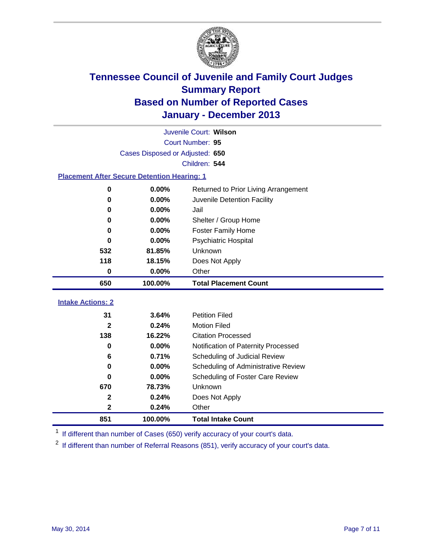

| $\mathbf{2}$                    | 0.24%                                              | Other                               |  |  |  |
|---------------------------------|----------------------------------------------------|-------------------------------------|--|--|--|
| $\mathbf{2}$                    | 0.24%                                              | Does Not Apply                      |  |  |  |
| 670                             | 78.73%                                             | Unknown                             |  |  |  |
| $\bf{0}$                        | 0.00%                                              | Scheduling of Foster Care Review    |  |  |  |
| $\bf{0}$                        | 0.00%                                              | Scheduling of Administrative Review |  |  |  |
| 6                               | 0.71%                                              | Scheduling of Judicial Review       |  |  |  |
| $\bf{0}$                        | 0.00%                                              | Notification of Paternity Processed |  |  |  |
| 138                             | 16.22%                                             | <b>Citation Processed</b>           |  |  |  |
| $\overline{2}$                  | 0.24%                                              | <b>Motion Filed</b>                 |  |  |  |
| 31                              | 3.64%                                              | <b>Petition Filed</b>               |  |  |  |
| <b>Intake Actions: 2</b>        |                                                    |                                     |  |  |  |
| 650                             | 100.00%                                            | <b>Total Placement Count</b>        |  |  |  |
| $\bf{0}$                        | 0.00%                                              | Other                               |  |  |  |
| 118                             | 18.15%                                             | Does Not Apply                      |  |  |  |
| 532                             | 81.85%                                             | Unknown                             |  |  |  |
| $\bf{0}$                        | 0.00%                                              | <b>Psychiatric Hospital</b>         |  |  |  |
| $\bf{0}$                        | 0.00%                                              | <b>Foster Family Home</b>           |  |  |  |
| 0                               | 0.00%                                              | Shelter / Group Home                |  |  |  |
| 0                               | 0.00%                                              | Jail                                |  |  |  |
| $\bf{0}$                        | 0.00%<br>Juvenile Detention Facility               |                                     |  |  |  |
| 0                               | 0.00%<br>Returned to Prior Living Arrangement      |                                     |  |  |  |
|                                 | <b>Placement After Secure Detention Hearing: 1</b> |                                     |  |  |  |
|                                 |                                                    | Children: 544                       |  |  |  |
| Cases Disposed or Adjusted: 650 |                                                    |                                     |  |  |  |
|                                 | Court Number: 95                                   |                                     |  |  |  |
| Juvenile Court: Wilson          |                                                    |                                     |  |  |  |

<sup>1</sup> If different than number of Cases (650) verify accuracy of your court's data.

If different than number of Referral Reasons (851), verify accuracy of your court's data.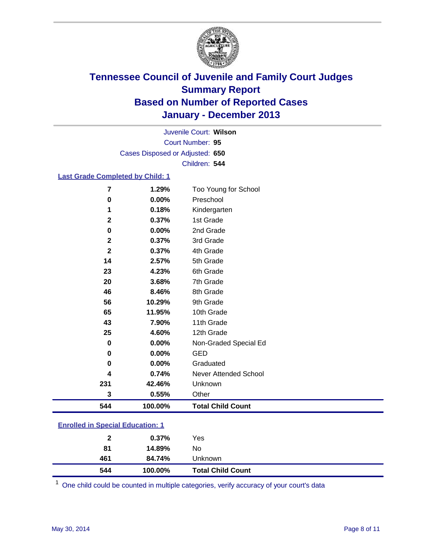

Court Number: **95** Juvenile Court: **Wilson** Cases Disposed or Adjusted: **650** Children: **544**

### **Last Grade Completed by Child: 1**

| 7           | 1.29%   | Too Young for School     |
|-------------|---------|--------------------------|
| 0           | 0.00%   | Preschool                |
| 1           | 0.18%   | Kindergarten             |
| $\mathbf 2$ | 0.37%   | 1st Grade                |
| 0           | 0.00%   | 2nd Grade                |
| $\mathbf 2$ | 0.37%   | 3rd Grade                |
| $\mathbf 2$ | 0.37%   | 4th Grade                |
| 14          | 2.57%   | 5th Grade                |
| 23          | 4.23%   | 6th Grade                |
| 20          | 3.68%   | 7th Grade                |
| 46          | 8.46%   | 8th Grade                |
| 56          | 10.29%  | 9th Grade                |
| 65          | 11.95%  | 10th Grade               |
| 43          | 7.90%   | 11th Grade               |
| 25          | 4.60%   | 12th Grade               |
| 0           | 0.00%   | Non-Graded Special Ed    |
| $\bf{0}$    | 0.00%   | <b>GED</b>               |
| $\bf{0}$    | 0.00%   | Graduated                |
| 4           | 0.74%   | Never Attended School    |
| 231         | 42.46%  | Unknown                  |
| 3           | 0.55%   | Other                    |
| 544         | 100.00% | <b>Total Child Count</b> |

| 544          | 100.00% | <b>Total Child Count</b> |  |
|--------------|---------|--------------------------|--|
| 461          | 84.74%  | Unknown                  |  |
| 81           | 14.89%  | No                       |  |
| $\mathbf{2}$ | 0.37%   | Yes                      |  |
|              |         |                          |  |

One child could be counted in multiple categories, verify accuracy of your court's data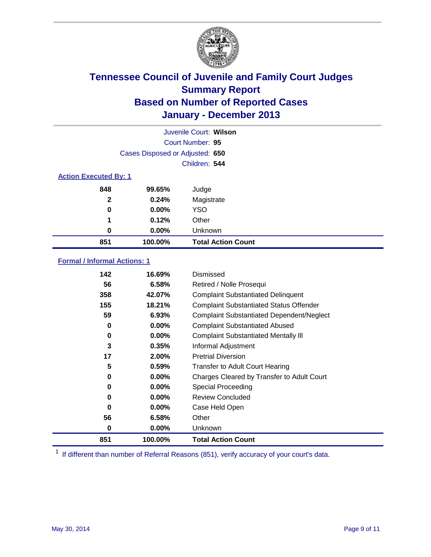

|                              |                                 | Juvenile Court: Wilson    |
|------------------------------|---------------------------------|---------------------------|
|                              |                                 | Court Number: 95          |
|                              | Cases Disposed or Adjusted: 650 |                           |
|                              |                                 | Children: 544             |
| <b>Action Executed By: 1</b> |                                 |                           |
| 848                          | 99.65%                          | Judge                     |
| $\mathbf{2}$                 | 0.24%                           | Magistrate                |
| 0                            | $0.00\%$                        | <b>YSO</b>                |
| 1                            | 0.12%                           | Other                     |
| 0                            | $0.00\%$                        | Unknown                   |
| 851                          | 100.00%                         | <b>Total Action Count</b> |

### **Formal / Informal Actions: 1**

| 142      | 16.69%   | Dismissed                                        |
|----------|----------|--------------------------------------------------|
| 56       | 6.58%    | Retired / Nolle Prosequi                         |
| 358      | 42.07%   | <b>Complaint Substantiated Delinquent</b>        |
| 155      | 18.21%   | <b>Complaint Substantiated Status Offender</b>   |
| 59       | 6.93%    | <b>Complaint Substantiated Dependent/Neglect</b> |
| 0        | $0.00\%$ | <b>Complaint Substantiated Abused</b>            |
| 0        | $0.00\%$ | <b>Complaint Substantiated Mentally III</b>      |
| 3        | 0.35%    | Informal Adjustment                              |
| 17       | 2.00%    | <b>Pretrial Diversion</b>                        |
| 5        | 0.59%    | <b>Transfer to Adult Court Hearing</b>           |
| 0        | $0.00\%$ | Charges Cleared by Transfer to Adult Court       |
| 0        | $0.00\%$ | Special Proceeding                               |
| 0        | $0.00\%$ | <b>Review Concluded</b>                          |
| $\bf{0}$ | $0.00\%$ | Case Held Open                                   |
| 56       | 6.58%    | Other                                            |
| 0        | $0.00\%$ | Unknown                                          |
| 851      | 100.00%  | <b>Total Action Count</b>                        |

<sup>1</sup> If different than number of Referral Reasons (851), verify accuracy of your court's data.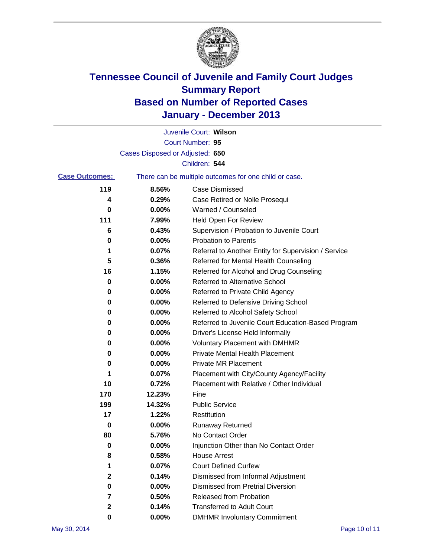

|                       |                                 | Juvenile Court: Wilson                                |
|-----------------------|---------------------------------|-------------------------------------------------------|
|                       |                                 | Court Number: 95                                      |
|                       | Cases Disposed or Adjusted: 650 |                                                       |
|                       |                                 | Children: 544                                         |
| <b>Case Outcomes:</b> |                                 | There can be multiple outcomes for one child or case. |
| 119                   | 8.56%                           | Case Dismissed                                        |
| 4                     | 0.29%                           | Case Retired or Nolle Prosequi                        |
| 0                     | 0.00%                           | Warned / Counseled                                    |
| 111                   | 7.99%                           | Held Open For Review                                  |
| 6                     | 0.43%                           | Supervision / Probation to Juvenile Court             |
| 0                     | 0.00%                           | <b>Probation to Parents</b>                           |
| 1                     | 0.07%                           | Referral to Another Entity for Supervision / Service  |
| 5                     | 0.36%                           | Referred for Mental Health Counseling                 |
| 16                    | 1.15%                           | Referred for Alcohol and Drug Counseling              |
| 0                     | 0.00%                           | <b>Referred to Alternative School</b>                 |
| 0                     | 0.00%                           | Referred to Private Child Agency                      |
| 0                     | 0.00%                           | Referred to Defensive Driving School                  |
| 0                     | 0.00%                           | Referred to Alcohol Safety School                     |
| 0                     | 0.00%                           | Referred to Juvenile Court Education-Based Program    |
| 0                     | 0.00%                           | Driver's License Held Informally                      |
| 0                     | 0.00%                           | <b>Voluntary Placement with DMHMR</b>                 |
| 0                     | 0.00%                           | <b>Private Mental Health Placement</b>                |
| 0                     | 0.00%                           | <b>Private MR Placement</b>                           |
| 1                     | 0.07%                           | Placement with City/County Agency/Facility            |
| 10                    | 0.72%                           | Placement with Relative / Other Individual            |
| 170                   | 12.23%                          | Fine                                                  |
| 199                   | 14.32%                          | <b>Public Service</b>                                 |
| 17                    | 1.22%                           | Restitution                                           |
| 0                     | 0.00%                           | <b>Runaway Returned</b>                               |
| 80                    | 5.76%                           | No Contact Order                                      |
| 0                     | 0.00%                           | Injunction Other than No Contact Order                |
| 8                     | 0.58%                           | <b>House Arrest</b>                                   |
| 1                     | 0.07%                           | <b>Court Defined Curfew</b>                           |
| 2                     | 0.14%                           | Dismissed from Informal Adjustment                    |
| 0                     | 0.00%                           | <b>Dismissed from Pretrial Diversion</b>              |
| 7                     | 0.50%                           | Released from Probation                               |
| 2                     | 0.14%                           | <b>Transferred to Adult Court</b>                     |
| 0                     | $0.00\%$                        | <b>DMHMR Involuntary Commitment</b>                   |